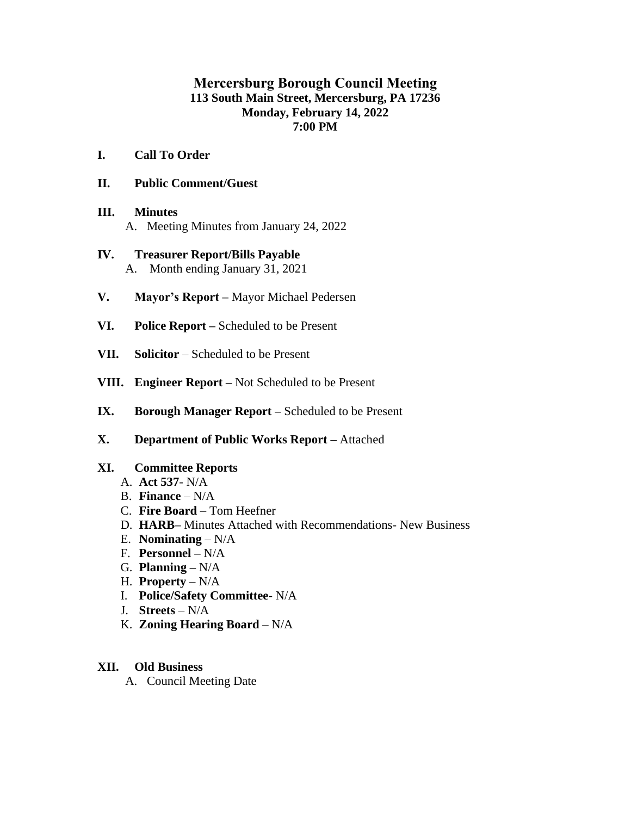# **Mercersburg Borough Council Meeting 113 South Main Street, Mercersburg, PA 17236 Monday, February 14, 2022 7:00 PM**

**I. Call To Order**

# **II. Public Comment/Guest**

# **III. Minutes** A. Meeting Minutes from January 24, 2022

## **IV. Treasurer Report/Bills Payable** A. Month ending January 31, 2021

- **V. Mayor's Report –** Mayor Michael Pedersen
- **VI. Police Report –** Scheduled to be Present
- **VII. Solicitor** Scheduled to be Present
- **VIII. Engineer Report –** Not Scheduled to be Present
- **IX. Borough Manager Report –** Scheduled to be Present
- **X. Department of Public Works Report –** Attached

#### **XI. Committee Reports**

- A. **Act 537** N/A
- B. **Finance** N/A
- C. **Fire Board** Tom Heefner
- D. **HARB–** Minutes Attached with Recommendations- New Business
- E. **Nominating** N/A
- F. **Personnel –** N/A
- G. **Planning –** N/A
- H. **Property** N/A
- I. **Police/Safety Committee** N/A
- J. **Streets** N/A
- K. **Zoning Hearing Board** *–* N/A

#### **XII. Old Business**

A. Council Meeting Date